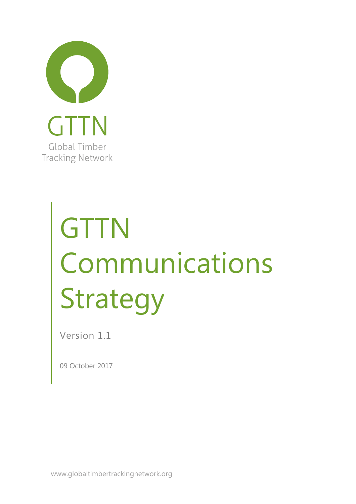

# **GTTN** Communications Strategy

Version 1.1

09 October 2017

www.globaltimbertrackingnetwork.org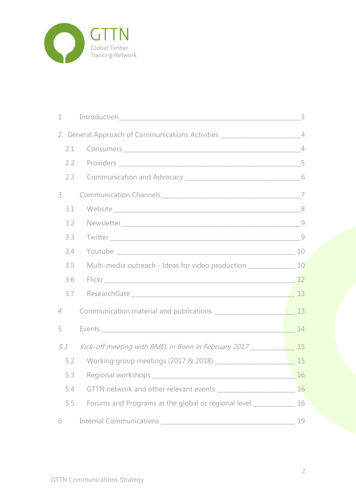

| 1.             |                                                                                                                      |    |
|----------------|----------------------------------------------------------------------------------------------------------------------|----|
|                | 2. General Approach of Communications Activities ______________________________4                                     |    |
| 2.1            |                                                                                                                      |    |
|                |                                                                                                                      |    |
| 2.3            |                                                                                                                      |    |
| 3.             |                                                                                                                      |    |
| 3.1            |                                                                                                                      |    |
| 3.2            |                                                                                                                      |    |
| 3.3            |                                                                                                                      |    |
| 3.4            |                                                                                                                      |    |
| 3.5            |                                                                                                                      |    |
| 3.6            | Flickr 12                                                                                                            |    |
| 3.7            |                                                                                                                      |    |
| $\overline{4}$ |                                                                                                                      |    |
| 5              |                                                                                                                      |    |
| 5.1            | Kick-off meeting with BMEL in Bonn in February 2017 _____________________________ 15                                 |    |
| 5.2            |                                                                                                                      |    |
| 5.3            |                                                                                                                      | 16 |
| 5.4            |                                                                                                                      | 16 |
| 5.5            | Forums and Programs at the global or regional level ____________________________                                     | 16 |
| 6              | Internal Communications<br>the control of the control of the control of the control of the control of the control of | 19 |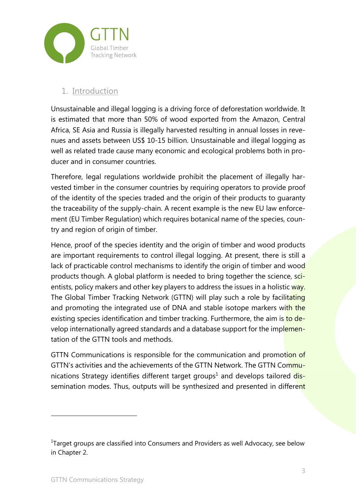

### 1. Introduction

Unsustainable and illegal logging is a driving force of deforestation worldwide. It is estimated that more than 50% of wood exported from the Amazon, Central Africa, SE Asia and Russia is illegally harvested resulting in annual losses in revenues and assets between US\$ 10-15 billion. Unsustainable and illegal logging as well as related trade cause many economic and ecological problems both in producer and in consumer countries.

Therefore, legal regulations worldwide prohibit the placement of illegally harvested timber in the consumer countries by requiring operators to provide proof of the identity of the species traded and the origin of their products to guaranty the traceability of the supply-chain. A recent example is the new EU law enforcement (EU Timber Regulation) which requires botanical name of the species, country and region of origin of timber.

Hence, proof of the species identity and the origin of timber and wood products are important requirements to control illegal logging. At present, there is still a lack of practicable control mechanisms to identify the origin of timber and wood products though. A global platform is needed to bring together the science, scientists, policy makers and other key players to address the issues in a holistic way. The Global Timber Tracking Network (GTTN) will play such a role by facilitating and promoting the integrated use of DNA and stable isotope markers with the existing species identification and timber tracking. Furthermore, the aim is to develop internationally agreed standards and a database support for the implementation of the GTTN tools and methods.

GTTN Communications is responsible for the communication and promotion of GTTN's activities and the achievements of the GTTN Network. The GTTN Communications Strategy identifies different target groups<sup>1</sup> and develops tailored dissemination modes. Thus, outputs will be synthesized and presented in different

 $^{1}$ Target groups are classified into Consumers and Providers as well Advocacy, see below in Chapter 2.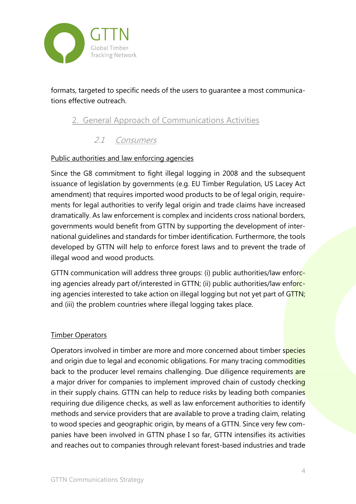

formats, targeted to specific needs of the users to guarantee a most communications effective outreach.

## 2. General Approach of Communications Activities

### 2.1 Consumers

#### Public authorities and law enforcing agencies

Since the G8 commitment to fight illegal logging in 2008 and the subsequent issuance of legislation by governments (e.g. EU Timber Regulation, US Lacey Act amendment) that requires imported wood products to be of legal origin, requirements for legal authorities to verify legal origin and trade claims have increased dramatically. As law enforcement is complex and incidents cross national borders, governments would benefit from GTTN by supporting the development of international guidelines and standards for timber identification. Furthermore, the tools developed by GTTN will help to enforce forest laws and to prevent the trade of illegal wood and wood products.

GTTN communication will address three groups: (i) public authorities/law enforcing agencies already part of/interested in GTTN; (ii) public authorities/law enforcing agencies interested to take action on illegal logging but not yet part of GTTN; and (iii) the problem countries where illegal logging takes place.

#### Timber Operators

Operators involved in timber are more and more concerned about timber species and origin due to legal and economic obligations. For many tracing commodities back to the producer level remains challenging. Due diligence requirements are a major driver for companies to implement improved chain of custody checking in their supply chains. GTTN can help to reduce risks by leading both companies requiring due diligence checks, as well as law enforcement authorities to identify methods and service providers that are available to prove a trading claim, relating to wood species and geographic origin, by means of a GTTN. Since very few companies have been involved in GTTN phase I so far, GTTN intensifies its activities and reaches out to companies through relevant forest-based industries and trade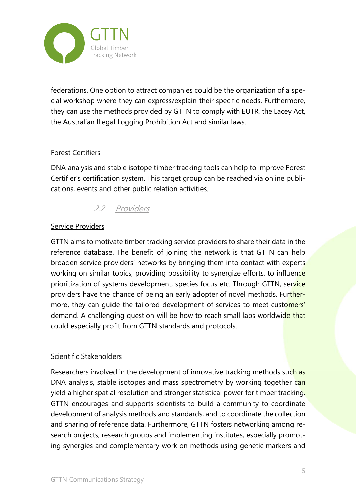

federations. One option to attract companies could be the organization of a special workshop where they can express/explain their specific needs. Furthermore, they can use the methods provided by GTTN to comply with EUTR, the Lacey Act, the Australian Illegal Logging Prohibition Act and similar laws.

#### Forest Certifiers

DNA analysis and stable isotope timber tracking tools can help to improve Forest Certifier's certification system. This target group can be reached via online publications, events and other public relation activities.

## 2.2 Providers

#### Service Providers

GTTN aims to motivate timber tracking service providers to share their data in the reference database. The benefit of joining the network is that GTTN can help broaden service providers' networks by bringing them into contact with experts working on similar topics, providing possibility to synergize efforts, to influence prioritization of systems development, species focus etc. Through GTTN, service providers have the chance of being an early adopter of novel methods. Furthermore, they can quide the tailored development of services to meet customers' demand. A challenging question will be how to reach small labs worldwide that could especially profit from GTTN standards and protocols.

#### Scientific Stakeholders

Researchers involved in the development of innovative tracking methods such as DNA analysis, stable isotopes and mass spectrometry by working together can yield a higher spatial resolution and stronger statistical power for timber tracking. GTTN encourages and supports scientists to build a community to coordinate development of analysis methods and standards, and to coordinate the collection and sharing of reference data. Furthermore, GTTN fosters networking among research projects, research groups and implementing institutes, especially promoting synergies and complementary work on methods using genetic markers and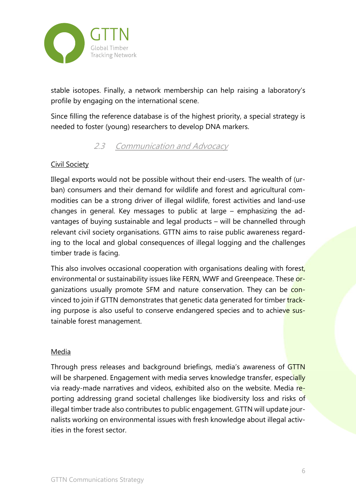

stable isotopes. Finally, a network membership can help raising a laboratory's profile by engaging on the international scene.

Since filling the reference database is of the highest priority, a special strategy is needed to foster (young) researchers to develop DNA markers.

## 2.3 Communication and Advocacy

#### Civil Society

Illegal exports would not be possible without their end-users. The wealth of (urban) consumers and their demand for wildlife and forest and agricultural commodities can be a strong driver of illegal wildlife, forest activities and land-use changes in general. Key messages to public at large – emphasizing the advantages of buying sustainable and legal products – will be channelled through relevant civil society organisations. GTTN aims to raise public awareness regarding to the local and global consequences of illegal logging and the challenges timber trade is facing.

This also involves occasional cooperation with organisations dealing with forest, environmental or sustainability issues like FERN, WWF and Greenpeace. These organizations usually promote SFM and nature conservation. They can be convinced to join if GTTN demonstrates that genetic data generated for timber tracking purpose is also useful to conserve endangered species and to achieve sustainable forest management.

#### Media

Through press releases and background briefings, media's awareness of GTTN will be sharpened. Engagement with media serves knowledge transfer, especially via ready-made narratives and videos, exhibited also on the website. Media reporting addressing grand societal challenges like biodiversity loss and risks of illegal timber trade also contributes to public engagement. GTTN will update journalists working on environmental issues with fresh knowledge about illegal activities in the forest sector.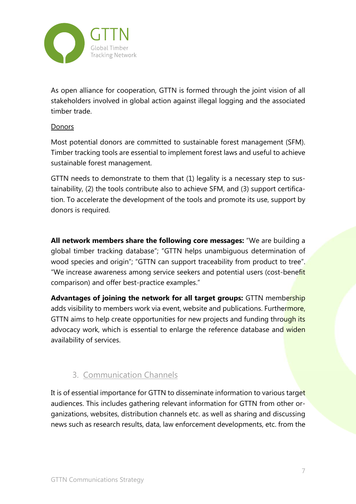

As open alliance for cooperation, GTTN is formed through the joint vision of all stakeholders involved in global action against illegal logging and the associated timber trade.

#### Donors

Most potential donors are committed to sustainable forest management (SFM). Timber tracking tools are essential to implement forest laws and useful to achieve sustainable forest management.

GTTN needs to demonstrate to them that (1) legality is a necessary step to sustainability, (2) the tools contribute also to achieve SFM, and (3) support certification. To accelerate the development of the tools and promote its use, support by donors is required.

**All network members share the following core messages:** "We are building a global timber tracking database"; "GTTN helps unambiguous determination of wood species and origin"; "GTTN can support traceability from product to tree". "We increase awareness among service seekers and potential users (cost-benefit comparison) and offer best-practice examples."

Advantages of joining the network for all target groups: GTTN membership adds visibility to members work via event, website and publications. Furthermore, GTTN aims to help create opportunities for new projects and funding through its advocacy work, which is essential to enlarge the reference database and widen availability of services.

## 3. Communication Channels

It is of essential importance for GTTN to disseminate information to various target audiences. This includes gathering relevant information for GTTN from other organizations, websites, distribution channels etc. as well as sharing and discussing news such as research results, data, law enforcement developments, etc. from the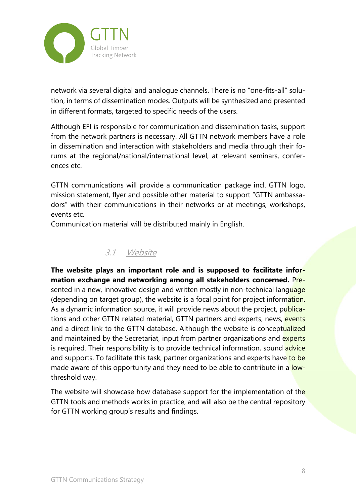

network via several digital and analogue channels. There is no "one-fits-all" solution, in terms of dissemination modes. Outputs will be synthesized and presented in different formats, targeted to specific needs of the users.

Although EFI is responsible for communication and dissemination tasks, support from the network partners is necessary. All GTTN network members have a role in dissemination and interaction with stakeholders and media through their forums at the regional/national/international level, at relevant seminars, conferences etc.

GTTN communications will provide a communication package incl. GTTN logo, mission statement, flyer and possible other material to support "GTTN ambassadors" with their communications in their networks or at meetings, workshops, events etc.

Communication material will be distributed mainly in English.

## 3.1 Website

**The website plays an important role and is supposed to facilitate information exchange and networking among all stakeholders concerned.** Presented in a new, innovative design and written mostly in non-technical language (depending on target group), the website is a focal point for project information. As a dynamic information source, it will provide news about the project, publications and other GTTN related material, GTTN partners and experts, news, events and a direct link to the GTTN database. Although the website is conceptualized and maintained by the Secretariat, input from partner organizations and experts is required. Their responsibility is to provide technical information, sound advice and supports. To facilitate this task, partner organizations and experts have to be made aware of this opportunity and they need to be able to contribute in a lowthreshold way.

The website will showcase how database support for the implementation of the GTTN tools and methods works in practice, and will also be the central repository for GTTN working group's results and findings.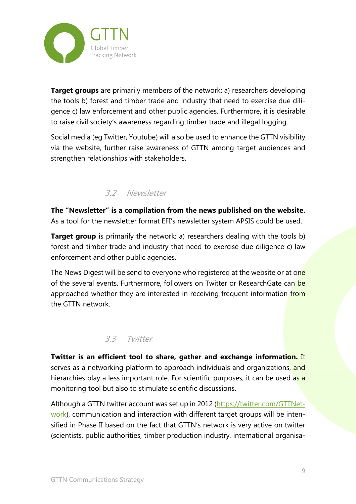

**Target groups** are primarily members of the network: a) researchers developing the tools b) forest and timber trade and industry that need to exercise due diligence c) law enforcement and other public agencies. Furthermore, it is desirable to raise civil society's awareness regarding timber trade and illegal logging.

Social media (eg Twitter, Youtube) will also be used to enhance the GTTN visibility via the website, further raise awareness of GTTN among target audiences and strengthen relationships with stakeholders.

## 3.2 Newsletter

**The "Newsletter" is a compilation from the news published on the website.** As a tool for the newsletter format EFI's newsletter system APSIS could be used.

**Target group** is primarily the network: a) researchers dealing with the tools b) forest and timber trade and industry that need to exercise due diligence c) law enforcement and other public agencies.

The News Digest will be send to everyone who registered at the website or at one of the several events. Furthermore, followers on Twitter or ResearchGate can be approached whether they are interested in receiving frequent information from the GTTN network.

#### 3.3 Twitter

**Twitter is an efficient tool to share, gather and exchange information.** It serves as a networking platform to approach individuals and organizations, and hierarchies play a less important role. For scientific purposes, it can be used as a monitoring tool but also to stimulate scientific discussions.

Although a GTTN twitter account was set up in 2012 (https://twitter.com/GTTNetwork), communication and interaction with different target groups will be intensified in Phase II based on the fact that GTTN's network is very active on twitter (scientists, public authorities, timber production industry, international organisa-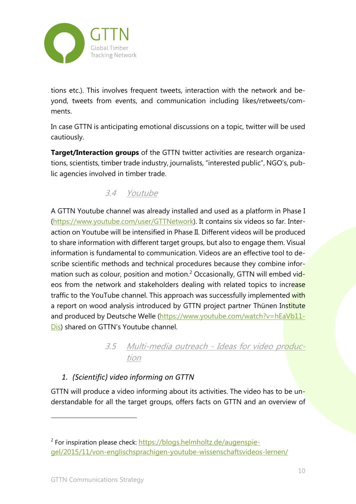

tions etc.). This involves frequent tweets, interaction with the network and beyond, tweets from events, and communication including likes/retweets/comments.

In case GTTN is anticipating emotional discussions on a topic, twitter will be used cautiously.

**Target/Interaction groups** of the GTTN twitter activities are research organizations, scientists, timber trade industry, journalists, "interested public", NGO's, public agencies involved in timber trade.

## 3.4 Youtube

A GTTN Youtube channel was already installed and used as a platform in Phase I (https://www.youtube.com/user/GTTNetwork). It contains six videos so far. Interaction on Youtube will be intensified in Phase II. Different videos will be produced to share information with different target groups, but also to engage them. Visual information is fundamental to communication. Videos are an effective tool to describe scientific methods and technical procedures because they combine information such as colour, position and motion.<sup>2</sup> Occasionally, GTTN will embed videos from the network and stakeholders dealing with related topics to increase traffic to the YouTube channel. This approach was successfully implemented with a report on wood analysis introduced by GTTN project partner Thünen Institute and produced by Deutsche Welle (https://www.youtube.com/watch?v=hEaVb11-Dis) shared on GTTN's Youtube channel.

> 3.5 Multi-media outreach - Ideas for video production

## *1. (Scientific) video informing on GTTN*

GTTN will produce a video informing about its activities. The video has to be understandable for all the target groups, offers facts on GTTN and an overview of

<sup>&</sup>lt;sup>2</sup> For inspiration please check: https://blogs.helmholtz.de/augenspiegel/2015/11/von-englischsprachigen-youtube-wissenschaftsvideos-lernen/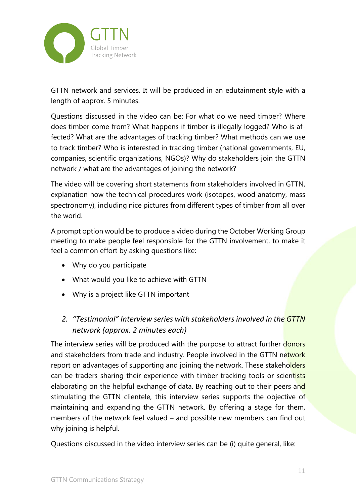

GTTN network and services. It will be produced in an edutainment style with a length of approx. 5 minutes.

Questions discussed in the video can be: For what do we need timber? Where does timber come from? What happens if timber is illegally logged? Who is affected? What are the advantages of tracking timber? What methods can we use to track timber? Who is interested in tracking timber (national governments, EU, companies, scientific organizations, NGOs)? Why do stakeholders join the GTTN network / what are the advantages of joining the network?

The video will be covering short statements from stakeholders involved in GTTN, explanation how the technical procedures work (isotopes, wood anatomy, mass spectronomy), including nice pictures from different types of timber from all over the world.

A prompt option would be to produce a video during the October Working Group meeting to make people feel responsible for the GTTN involvement, to make it feel a common effort by asking questions like:

- Why do you participate
- What would you like to achieve with GTTN
- Why is a project like GTTN important
- *2. "Testimonial" Interview series with stakeholdersinvolved in the GTTN network (approx. 2 minutes each)*

The interview series will be produced with the purpose to attract further donors and stakeholders from trade and industry. People involved in the GTTN network report on advantages of supporting and joining the network. These stakeholders can be traders sharing their experience with timber tracking tools or scientists elaborating on the helpful exchange of data. By reaching out to their peers and stimulating the GTTN clientele, this interview series supports the objective of maintaining and expanding the GTTN network. By offering a stage for them, members of the network feel valued – and possible new members can find out why joining is helpful.

Questions discussed in the video interview series can be (i) quite general, like: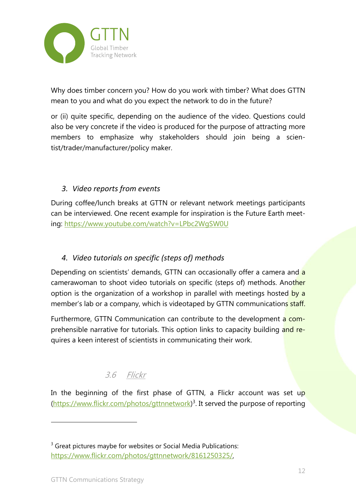

Why does timber concern you? How do you work with timber? What does GTTN mean to you and what do you expect the network to do in the future?

or (ii) quite specific, depending on the audience of the video. Questions could also be very concrete if the video is produced for the purpose of attracting more members to emphasize why stakeholders should join being a scientist/trader/manufacturer/policy maker.

#### *3. Video reports from events*

During coffee/lunch breaks at GTTN or relevant network meetings participants can be interviewed. One recent example for inspiration is the Future Earth meeting: https://www.youtube.com/watch?v=LPbc2WgSW0U

#### *4. Video tutorials on specific (steps of) methods*

Depending on scientists' demands, GTTN can occasionally offer a camera and a camerawoman to shoot video tutorials on specific (steps of) methods. Another option is the organization of a workshop in parallel with meetings hosted by a member's lab or a company, which is videotaped by GTTN communications staff.

Furthermore, GTTN Communication can contribute to the development a comprehensible narrative for tutorials. This option links to capacity building and requires a keen interest of scientists in communicating their work.

# 3.6 Flickr

In the beginning of the first phase of GTTN, a Flickr account was set up (https://www.flickr.com/photos/gttnnetwork) 3 . It served the purpose of reporting

 $3$  Great pictures maybe for websites or Social Media Publications: https://www.flickr.com/photos/gttnnetwork/8161250325/,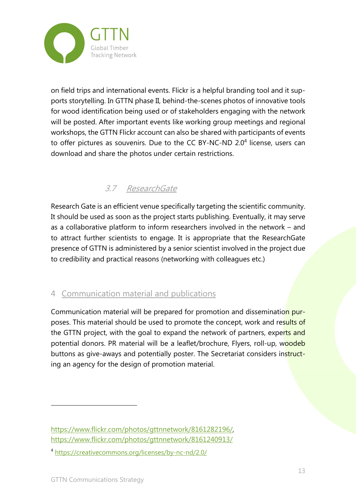

on field trips and international events. Flickr is a helpful branding tool and it supports storytelling. In GTTN phase II, behind-the-scenes photos of innovative tools for wood identification being used or of stakeholders engaging with the network will be posted. After important events like working group meetings and regional workshops, the GTTN Flickr account can also be shared with participants of events to offer pictures as souvenirs. Due to the CC BY-NC-ND 2.0<sup>4</sup> license, users can download and share the photos under certain restrictions.

# 3.7 ResearchGate

Research Gate is an efficient venue specifically targeting the scientific community. It should be used as soon as the project starts publishing. Eventually, it may serve as a collaborative platform to inform researchers involved in the network – and to attract further scientists to engage. It is appropriate that the ResearchGate presence of GTTN is administered by a senior scientist involved in the project due to credibility and practical reasons (networking with colleagues etc.)

## 4 Communication material and publications

Communication material will be prepared for promotion and dissemination purposes. This material should be used to promote the concept, work and results of the GTTN project, with the goal to expand the network of partners, experts and potential donors. PR material will be a leaflet/brochure, Flyers, roll-up, woodeb buttons as give-aways and potentially poster. The Secretariat considers instructing an agency for the design of promotion material.

https://www.flickr.com/photos/gttnnetwork/8161282196/, https://www.flickr.com/photos/gttnnetwork/8161240913/

<sup>4</sup> https://creativecommons.org/licenses/by-nc-nd/2.0/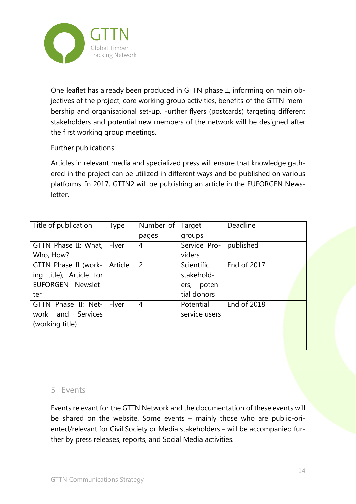

One leaflet has already been produced in GTTN phase II, informing on main objectives of the project, core working group activities, benefits of the GTTN membership and organisational set-up. Further flyers (postcards) targeting different stakeholders and potential new members of the network will be designed after the first working group meetings.

Further publications:

Articles in relevant media and specialized press will ensure that knowledge gathered in the project can be utilized in different ways and be published on various platforms. In 2017, GTTN2 will be publishing an article in the EUFORGEN Newsletter.

| Title of publication    | <b>Type</b> | Number of   Target |                   | Deadline    |
|-------------------------|-------------|--------------------|-------------------|-------------|
|                         |             | pages              | groups            |             |
| GTTN Phase II: What,    | Flyer       | 4                  | Service Pro-      | published   |
| Who, How?               |             |                    | viders            |             |
| GTTN Phase II (work-    | Article     | 2                  | <b>Scientific</b> | End of 2017 |
| ing title), Article for |             |                    | stakehold-        |             |
| EUFORGEN Newslet-       |             |                    | ers, poten-       |             |
| ter                     |             |                    | tial donors       |             |
| GTTN Phase II: Net-     | Flyer       | 4                  | Potential         | End of 2018 |
| work and Services       |             |                    | service users     |             |
| (working title)         |             |                    |                   |             |
|                         |             |                    |                   |             |
|                         |             |                    |                   |             |

#### 5 Events

Events relevant for the GTTN Network and the documentation of these events will be shared on the website. Some events – mainly those who are public-oriented/relevant for Civil Society or Media stakeholders – will be accompanied further by press releases, reports, and Social Media activities.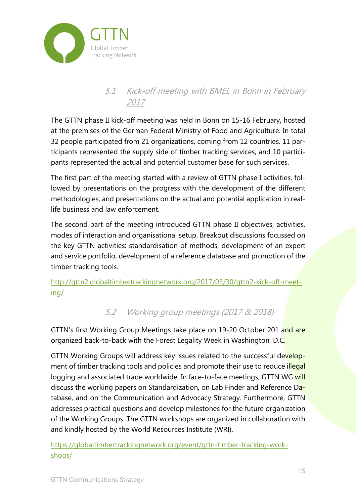

## 5.1 Kick-off meeting with BMEL in Bonn in February 2017

The GTTN phase II kick-off meeting was held in Bonn on 15-16 February, hosted at the premises of the German Federal Ministry of Food and Agriculture. In total 32 people participated from 21 organizations, coming from 12 countries. 11 participants represented the supply side of timber tracking services, and 10 participants represented the actual and potential customer base for such services.

The first part of the meeting started with a review of GTTN phase I activities, followed by presentations on the progress with the development of the different methodologies, and presentations on the actual and potential application in reallife business and law enforcement.

The second part of the meeting introduced GTTN phase II objectives, activities, modes of interaction and organisational setup. Breakout discussions focussed on the key GTTN activities: standardisation of methods, development of an expert and service portfolio, development of a reference database and promotion of the timber tracking tools.

http://gttn2.globaltimbertrackingnetwork.org/2017/03/30/gttn2-kick-off-meeting/

## 5.2 Working group meetings (2017 & 2018)

GTTN's first Working Group Meetings take place on 19-20 October 201 and are organized back-to-back with the Forest Legality Week in Washington, D.C.

GTTN Working Groups will address key issues related to the successful development of timber tracking tools and policies and promote their use to reduce illegal logging and associated trade worldwide. In face-to-face meetings, GTTN WG will discuss the working papers on Standardization, on Lab Finder and Reference Database, and on the Communication and Advocacy Strategy. Furthermore, GTTN addresses practical questions and develop milestones for the future organization of the Working Groups. The GTTN workshops are organized in collaboration with and kindly hosted by the World Resources Institute (WRI).

https://globaltimbertrackingnetwork.org/event/gttn-timber-tracking-workshops/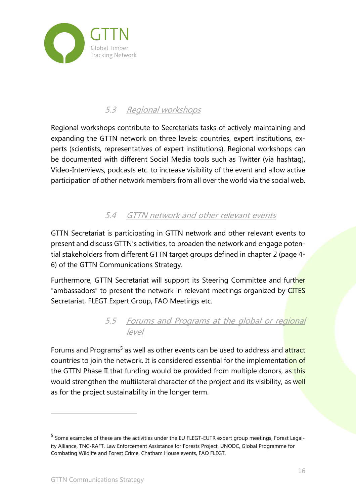

# 5.3 Regional workshops

Regional workshops contribute to Secretariats tasks of actively maintaining and expanding the GTTN network on three levels: countries, expert institutions, experts (scientists, representatives of expert institutions). Regional workshops can be documented with different Social Media tools such as Twitter (via hashtag), Video-Interviews, podcasts etc. to increase visibility of the event and allow active participation of other network members from all over the world via the social web.

## 5.4 GTTN network and other relevant events

GTTN Secretariat is participating in GTTN network and other relevant events to present and discuss GTTN's activities, to broaden the network and engage potential stakeholders from different GTTN target groups defined in chapter 2 (page 4- 6) of the GTTN Communications Strategy.

Furthermore, GTTN Secretariat will support its Steering Committee and further "ambassadors" to present the network in relevant meetings organized by CITES Secretariat, FLEGT Expert Group, FAO Meetings etc.

## 5.5 Forums and Programs at the global or regional level

Forums and Programs<sup>5</sup> as well as other events can be used to address and attract countries to join the network. It is considered essential for the implementation of the GTTN Phase II that funding would be provided from multiple donors, as this would strengthen the multilateral character of the project and its visibility, as well as for the project sustainability in the longer term.

<sup>5</sup> Some examples of these are the activities under the EU FLEGT-EUTR expert group meetings, Forest Legality Alliance, TNC-RAFT, Law Enforcement Assistance for Forests Project, UNODC, Global Programme for Combating Wildlife and Forest Crime, Chatham House events, FAO FLEGT.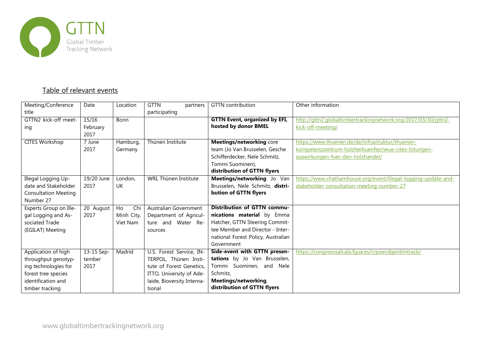

#### Table of relevant events

| Meeting/Conference<br>title | Date             | Location              | <b>GTTN</b><br>partners<br>participating | <b>GTTN</b> contribution             | Other information                                              |
|-----------------------------|------------------|-----------------------|------------------------------------------|--------------------------------------|----------------------------------------------------------------|
| GTTN2 kick-off meet-        | 15/16            | Bonn                  |                                          | <b>GTTN Event, organized by EFI,</b> | http://gttn2.globaltimbertrackingnetwork.org/2017/03/30/gttn2- |
| ing                         | February<br>2017 |                       |                                          | hosted by donor BMEL                 | kick-off-meeting/                                              |
| <b>CITES Workshop</b>       | 7 June           | Hamburg,              | Thünen Institute                         | <b>Meetings/networking core</b>      | https://www.thuenen.de/de/infrastruktur/thuenen-               |
|                             | 2017             | Germany               |                                          | team (Jo Van Brusselen, Gesche       | kompetenzzentrum-holzherkuenfte/neue-cites-listungen-          |
|                             |                  |                       |                                          | Schifferdecker, Nele Schmitz,        | auswirkungen-fuer-den-holzhandel/                              |
|                             |                  |                       |                                          | Tommi Suominen),                     |                                                                |
|                             |                  |                       |                                          | distribution of GTTN flyers          |                                                                |
| Illegal Logging Up-         | 19/20 June       | London,               | WRI, Thünen Institute                    | Meetings/networking Jo Van           | https://www.chathamhouse.org/event/illegal-logging-update-and- |
| date and Stakeholder        | 2017             | <b>UK</b>             |                                          | Brusselen, Nele Schmitz, distri-     | stakeholder-consultation-meeting-number-27                     |
| <b>Consultation Meeting</b> |                  |                       |                                          | bution of GTTN flyers                |                                                                |
| Number 27                   |                  |                       |                                          |                                      |                                                                |
| Experts Group on Ille-      | 20 August        | H <sub>o</sub><br>Chi | Australian Government                    | Distribution of GTTN commu-          |                                                                |
| gal Logging and As-         | 2017             | Minh City,            | Department of Agricul-                   | nications material by Emma           |                                                                |
| sociated Trade              |                  | Viet Nam              | ture and Water Re-                       | Hatcher, GTTN Steering Commit-       |                                                                |
| (EGILAT) Meeting            |                  |                       | sources                                  | tee Member and Director - Inter-     |                                                                |
|                             |                  |                       |                                          | national Forest Policy, Australian   |                                                                |
|                             |                  |                       |                                          | Government                           |                                                                |
| Application of high         | 13-15 Sep-       | Madrid                | U.S. Forest Service, IN-                 | Side-event with GTTN presen-         | https://congresosalcala.fqua.es/crpoecdgentimtrack/            |
| throughput genotyp-         | tember           |                       | TERPOL, Thünen Insti-                    | tations by Jo Van Brusselen,         |                                                                |
| ing technologies for        | 2017             |                       | tute of Forest Genetics,                 | Tommi Suominen, and Nele             |                                                                |
| forest tree species         |                  |                       | ITTO, University of Ade-                 | Schmitz,                             |                                                                |
| identification and          |                  |                       | laide, Bioversity Interna-               | Meetings/networking,                 |                                                                |
| timber tracking             |                  |                       | tional                                   | distribution of GTTN flyers          |                                                                |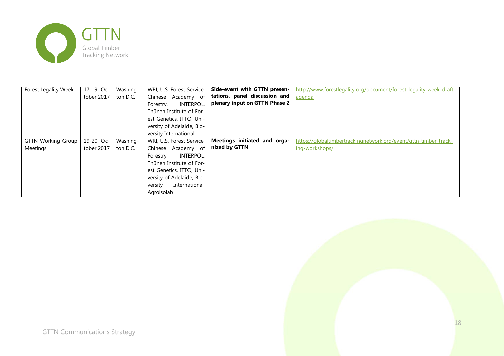

| Forest Legality Week      | $17-19$ Oc-              | Washing- | WRI, U.S. Forest Service, | Side-event with GTTN presen-  | http://www.forestlegality.org/document/forest-legality-week-draft- |
|---------------------------|--------------------------|----------|---------------------------|-------------------------------|--------------------------------------------------------------------|
|                           | tober 2017               | ton D.C. | Academy of<br>Chinese     | tations, panel discussion and | agenda                                                             |
|                           |                          |          | INTERPOL,<br>Forestry,    | plenary input on GTTN Phase 2 |                                                                    |
|                           |                          |          | Thünen Institute of For-  |                               |                                                                    |
|                           |                          |          | est Genetics, ITTO, Uni-  |                               |                                                                    |
|                           |                          |          | versity of Adelaide, Bio- |                               |                                                                    |
|                           |                          |          | versity International     |                               |                                                                    |
| <b>GTTN Working Group</b> | $\overline{19} - 20$ Oc- | Washing- | WRI, U.S. Forest Service, | Meetings initiated and orga-  | https://globaltimbertrackingnetwork.org/event/gttn-timber-track-   |
| Meetings                  | tober 2017               | ton D.C. | Academy of<br>Chinese     | nized by GTTN                 | ing-workshops/                                                     |
|                           |                          |          | INTERPOL,<br>Forestry,    |                               |                                                                    |
|                           |                          |          | Thünen Institute of For-  |                               |                                                                    |
|                           |                          |          | est Genetics, ITTO, Uni-  |                               |                                                                    |
|                           |                          |          | versity of Adelaide, Bio- |                               |                                                                    |
|                           |                          |          | International,<br>versity |                               |                                                                    |
|                           |                          |          | Agroisolab                |                               |                                                                    |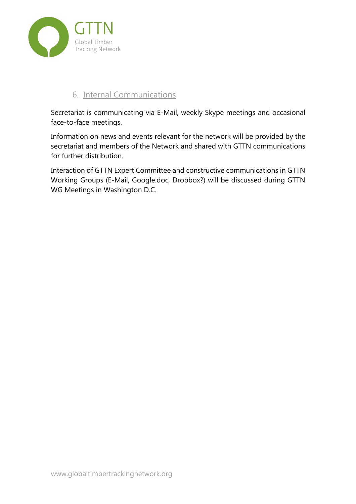

#### 6. Internal Communications

Secretariat is communicating via E-Mail, weekly Skype meetings and occasional face-to-face meetings.

Information on news and events relevant for the network will be provided by the secretariat and members of the Network and shared with GTTN communications for further distribution.

Interaction of GTTN Expert Committee and constructive communications in GTTN Working Groups (E-Mail, Google.doc, Dropbox?) will be discussed during GTTN WG Meetings in Washington D.C.